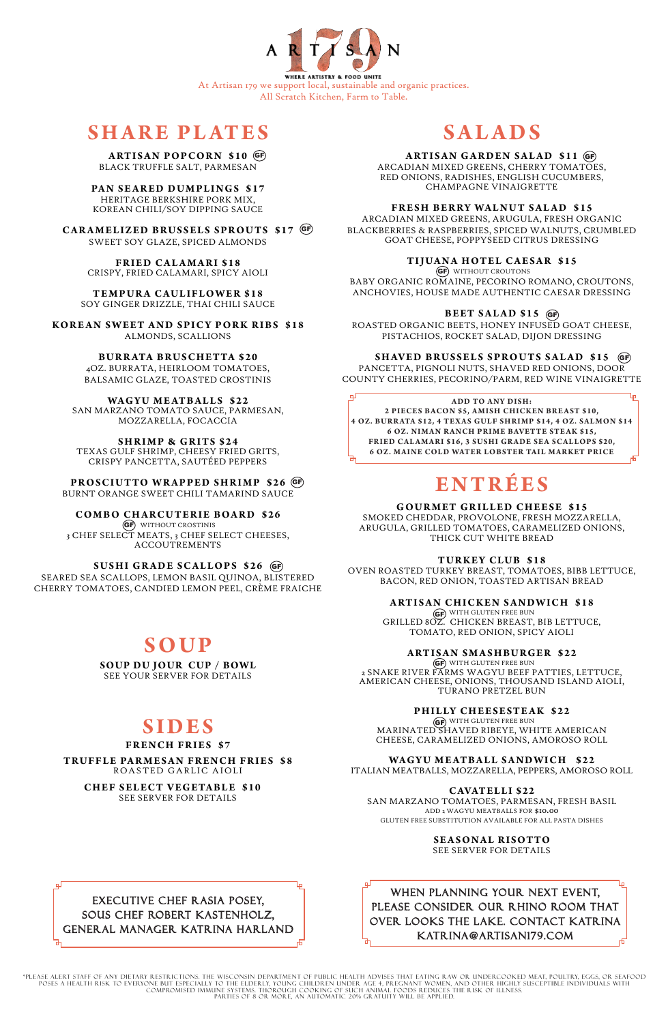

All Scratch Kitchen, Farm to Table.

# **SHARE PLATES**

# **SALADS**

ARCADIAN MIXED GREENS, CHERRY TOMATOES, RED ONIONS, RADISHES, ENGLISH CUCUMBERS, CHAMPAGNE VINAIGRETTE

## **FRESH BERRY WALNUT SALAD \$15**

GF) WITHOUT CROUTONS BABY ORGANIC ROMAINE, PECORINO ROMANO, CROUTONS, ANCHOVIES, HOUSE MADE AUTHENTIC CAESAR DRESSING

ARCADIAN MIXED GREENS, ARUGULA, FRESH ORGANIC BLACKBERRIES & RASPBERRIES, SPICED WALNUTS, CRUMBLED GOAT CHEESE, POPPYSEED CITRUS DRESSING

## **TIJUANA HOTEL CAESAR \$15**

ROASTED ORGANIC BEETS, HONEY INFUSED GOAT CHEESE, PISTACHIOS, ROCKET SALAD, DIJON DRESSING

# **SHAVED BRUSSELS SPROUTS SALAD \$15 GF**

 $\left($ GF $\right)$  with gluten free bun GRILLED 8OZ. CHICKEN BREAST, BIB LETTUCE, TOMATO, RED ONION, SPICY AIOLI

PANCETTA, PIGNOLI NUTS, SHAVED RED ONIONS, DOOR COUNTY CHERRIES, PECORINO/PARM, RED WINE VINAIGRETTE

фJ Lρ **ADD TO ANY DISH:**  2 PIECES BACON \$5, AMISH CHICKEN BREAST \$10, **4 OZ. BUR R ATA \$12, 4 TE X A S GULF SHR I MP \$14, 4 OZ. SAL MON \$14 6 OZ. NIMAN RANCH PRIME BAVETTE STEAK \$15, FRIED CALAMARI \$16, 3 SUSHI GRADE SEA SCALLOPS \$20, 6 OZ. MAINE COLD WATER LOBSTER TAIL MARKET PRICE** 

GF) WITH GLUTEN FREE BUN 2 SNAKE RIVER FARMS WAGYU BEEF PATTIES, LETTUCE, AMERICAN CHEESE, ONIONS, THOUSAND ISLAND AIOLI, TURANO PRETZEL BUN

 $\left( \mathsf{G}\mathsf{F}\right)$  with gluten free bun MARINATED SHAVED RIBEYE, WHITE AMERICAN CHEESE, CARAMELIZED ONIONS, AMOROSO ROLL

# **ENTRÉE S**

**PAN SEARED DUMPLINGS \$17** HERITAGE BERKSHIRE PORK MIX, KOREAN CHILI/SOY DIPPING SAUCE

**GOURMET GRILLED CHEESE \$15**

SMOKED CHEDDAR, PROVOLONE, FRESH MOZZARELLA, ARUGULA, GRILLED TOMATOES, CARAMELIZED ONIONS, THICK CUT WHITE BREAD

# **TURKEY CLUB \$18**

OVEN ROASTED TURKEY BREAST, TOMATOES, BIBB LETTUCE, BACON, RED ONION, TOASTED ARTISAN BREAD

# **ARTISAN CHICKEN SANDWICH \$18**

# **ARTISAN SMASHBURGER \$22**

GF WITHOUT CROSTINIS 3 CHEF SELECT MEATS, 3 CHEF SELECT CHEESES, ACCOUTREMENTS

# **PHILLY CHEESESTEAK \$22**

ITALIAN MEATBALLS, MOZZARELLA, PEPPERS, AMOROSO ROLL

#### **CAVATELLI \$22**

SAN MARZANO TOMATOES, PARMESAN, FRESH BASIL

# **ARTISAN GARDEN SALAD \$11** GF

ADD 2 WAGYU MEATBALLS FOR \$10.00 GLUTEN FREE SUBSTITUTION AVAILABLE FOR ALL PASTA DISHES

> **SEASONAL RISOTTO** SEE SERVER FOR DETAILS

BLACK TRUFFLE SALT, PARMESAN

# **BEET SALAD \$15** GF

**CARAMELIZED BRUSSELS SPROUTS \$17** GF SWEET SOY GLAZE, SPICED ALMONDS

> **FRIED CALAMARI \$18** CRISPY, FRIED CALAMARI, SPICY AIOLI

**TEMPURA CAULIFLOWER \$18** SOY GINGER DRIZZLE, THAI CHILI SAUCE

**KOREAN SWEET AND SPICY PORK RIBS \$18** ALMONDS, SCALLIONS

> **BUR R ATA BRUSCHETTA \$20** 4OZ. BURRATA, HEIRLOOM TOMATOES, BALSAMIC GLAZE, TOASTED CROSTINIS

**WAGYU ME ATBALLS \$22** SAN MARZANO TOMATO SAUCE, PARMESAN, MOZZARELLA, FOCACCIA

**SHRIMP & GRITS \$24** TEXAS GULF SHRIMP, CHEESY FRIED GRITS, CRISPY PANCETTA, SAUTÉED PEPPERS

**PROSCIUTTO WRAPPED SHRIMP \$26** GF BURNT ORANGE SWEET CHILI TAMARIND SAUCE

# **COMBO CHARCUTERIE BOARD \$26**

# **ARTISAN POPCORN \$10** GF

SEARED SEA SCALLOPS, LEMON BASIL QUINOA, BLISTERED CHERRY TOMATOES, CANDIED LEMON PEEL, CRÈME FRAICHE

# **SOUP**

**SOUP DU JOUR CUP / BOWL** SEE YOUR SERVER FOR DETAILS

# **SIDES**

#### **FRENCH FRIES \$7**

# **TRUFFLE PAR MESAN FRENCH FRIES \$8**

ROASTED GARLIC AIOLI

**CHEF SELECT VEGETABLE \$10** SEE SERVER FOR DETAILS

# **WAGYU MEATBALL SANDWICH \$22**

**SUSHI GRADE SCALLOPS \$26** GF

\*PLEASE ALERT STAFF OF ANY DIETARY RESTRICTIONS. THE WISCONSIN DEPARTMENT OF PUBLIC HEALTH ADVISES THAT EATING RAW OR UNDERCOOKED MEAT, POULTRY, EGGS, OR SEAFOOD POSES A HEALTH RISK TO EVERYONE BUT ESPECIALLY TO THE ELDERLY, YOUNG CHILDREN UNDER AGE 4, PREGNANT WOMEN, AND OTHER HIGHLY SUSCEPTIBLE INDIVIDUALS WITH COMPROMISED IMMUNE SYSTEMS. THOROUGH COOKING OF SUCH ANIMAL FOODS REDUCES THE RISK OF ILLNESS. PARTIES OF 8 OR MORE, AN AUTOMATIC 20% GRATUITY WILL BE APPLIED.



WHEN PLANNING YOUR NEXT EVENT, PLEASE CONSIDER OUR RHINO ROOM THAT OVER LOOKS THE LAKE. CONTACT KATRINA KATRINA@ARTISAN179.COM